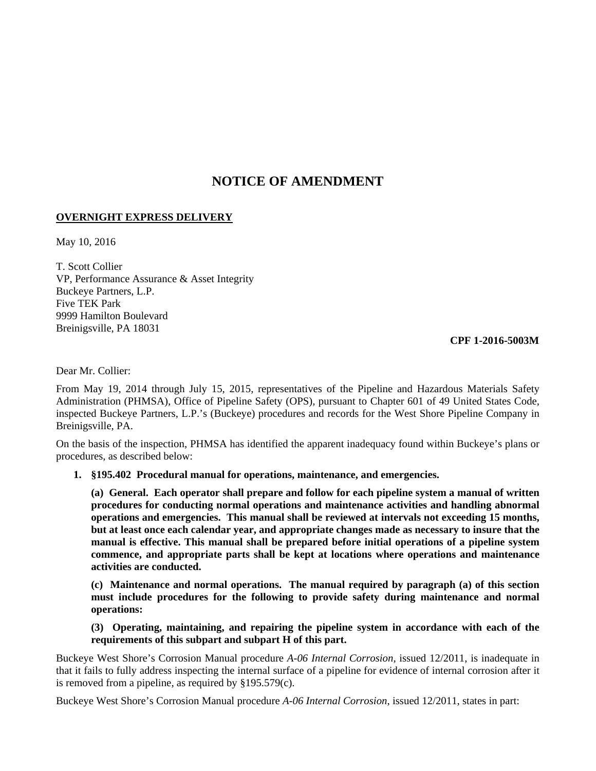## **NOTICE OF AMENDMENT**

## **OVERNIGHT EXPRESS DELIVERY**

May 10, 2016

T. Scott Collier VP, Performance Assurance & Asset Integrity Buckeye Partners, L.P. Five TEK Park 9999 Hamilton Boulevard Breinigsville, PA 18031

**CPF 1-2016-5003M**

Dear Mr. Collier:

From May 19, 2014 through July 15, 2015, representatives of the Pipeline and Hazardous Materials Safety Administration (PHMSA), Office of Pipeline Safety (OPS), pursuant to Chapter 601 of 49 United States Code, inspected Buckeye Partners, L.P.'s (Buckeye) procedures and records for the West Shore Pipeline Company in Breinigsville, PA.

On the basis of the inspection, PHMSA has identified the apparent inadequacy found within Buckeye's plans or procedures, as described below:

## **1. §195.402 Procedural manual for operations, maintenance, and emergencies.**

**(a) General. Each operator shall prepare and follow for each pipeline system a manual of written procedures for conducting normal operations and maintenance activities and handling abnormal operations and emergencies. This manual shall be reviewed at intervals not exceeding 15 months, but at least once each calendar year, and appropriate changes made as necessary to insure that the manual is effective. This manual shall be prepared before initial operations of a pipeline system commence, and appropriate parts shall be kept at locations where operations and maintenance activities are conducted.**

**(c) Maintenance and normal operations. The manual required by paragraph (a) of this section must include procedures for the following to provide safety during maintenance and normal operations:**

**(3) Operating, maintaining, and repairing the pipeline system in accordance with each of the requirements of this subpart and subpart H of this part.**

Buckeye West Shore's Corrosion Manual procedure *A-06 Internal Corrosion*, issued 12/2011, is inadequate in that it fails to fully address inspecting the internal surface of a pipeline for evidence of internal corrosion after it is removed from a pipeline, as required by §195.579(c).

Buckeye West Shore's Corrosion Manual procedure *A-06 Internal Corrosion*, issued 12/2011, states in part: